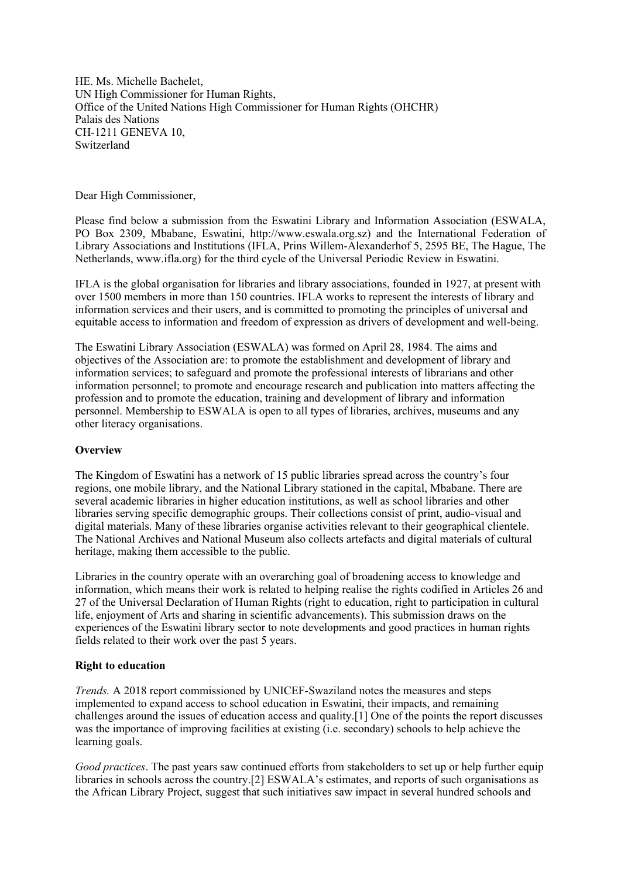HE. Ms. Michelle Bachelet, UN High Commissioner for Human Rights, Office of the United Nations High Commissioner for Human Rights (OHCHR) Palais des Nations CH-1211 GENEVA 10, Switzerland

Dear High Commissioner,

Please find below <sup>a</sup> submission from the Eswatini Library and Information Association (ESWALA, PO Box 2309, Mbabane, Eswatini, http://www.eswala.org.sz) and the International Federation of Library Associations and Institutions (IFLA, Prins Willem-Alexanderhof 5, 2595 BE, The Hague, The Netherlands, www.ifla.org) for the third cycle of the Universal Periodic Review in Eswatini.

IFLA is the global organisation for libraries and library associations, founded in 1927, at presen<sup>t</sup> with over 1500 members in more than 150 countries. IFLA works to represen<sup>t</sup> the interests of library and information services and their users, and is committed to promoting the principles of universal and equitable access to information and freedom of expression as drivers of development and well-being.

The Eswatini Library Association (ESWALA) was formed on April 28, 1984. The aims and objectives of the Association are: to promote the establishment and development of library and information services; to safeguard and promote the professional interests of librarians and other information personnel; to promote and encourage research and publication into matters affecting the profession and to promote the education, training and development of library and information personnel. Membership to ESWALA is open to all types of libraries, archives, museums and any other literacy organisations.

# **Overview**

The Kingdom of Eswatini has <sup>a</sup> network of 15 public libraries spread across the country'<sup>s</sup> four regions, one mobile library, and the National Library stationed in the capital, Mbabane. There are several academic libraries in higher education institutions, as well as school libraries and other libraries serving specific demographic groups. Their collections consist of print, audio-visual and digital materials. Many of these libraries organise activities relevant to their geographical clientele. The National Archives and National Museum also collects artefacts and digital materials of cultural heritage, making them accessible to the public.

Libraries in the country operate with an overarching goal of broadening access to knowledge and information, which means their work is related to helping realise the rights codified in Articles 26 and 27 of the Universal Declaration of Human Rights (right to education, right to participation in cultural life, enjoyment of Arts and sharing in scientific advancements). This submission draws on the experiences of the Eswatini library sector to note developments and good practices in human rights fields related to their work over the pas<sup>t</sup> 5 years.

# **Right to education**

*Trends.* A2018 repor<sup>t</sup> commissioned by UNICEF-Swaziland notes the measures and steps implemented to expand access to school education in Eswatini, their impacts, and remaining challenges around the issues of education access and quality.[1] One of the points the repor<sup>t</sup> discusses was the importance of improving facilities at existing (i.e. secondary) schools to help achieve the learning goals.

*Good practices*. The pas<sup>t</sup> years saw continued efforts from stakeholders to set up or help further equip libraries in schools across the country.[2] ESWALA'<sup>s</sup> estimates, and reports of such organisations as the African Library Project, sugges<sup>t</sup> that such initiatives saw impact in several hundred schools and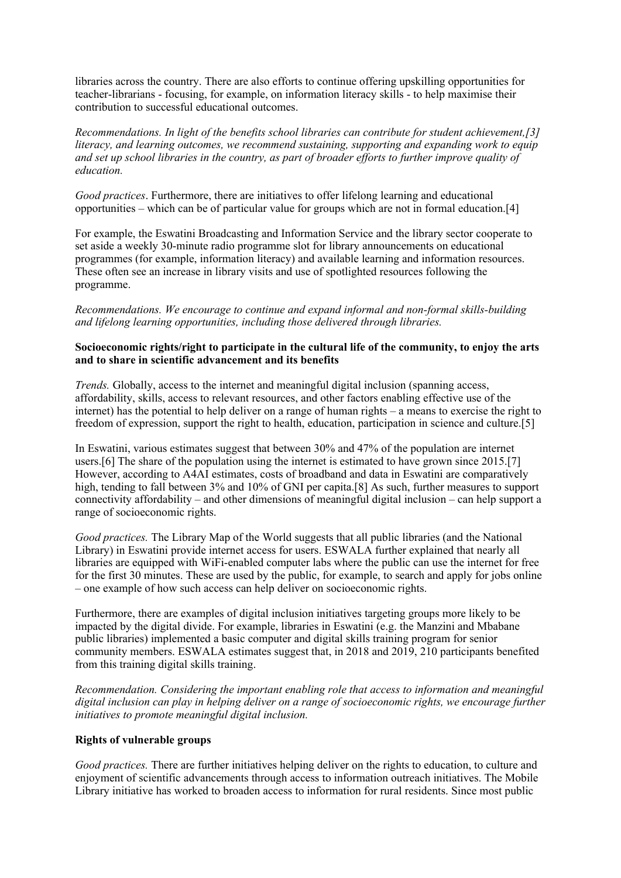libraries across the country. There are also efforts to continue offering upskilling opportunities for teacher-librarians - focusing, for example, on information literacy skills - to help maximise their contribution to successful educational outcomes.

*Recommendations. In light of the benefits school libraries can contribute for student achievement,[3] literacy, and learning outcomes, we recommend sustaining, supporting and expanding work to equip* and set up school libraries in the country, as part of broader efforts to further improve quality of *education.*

*Good practices*. Furthermore, there are initiatives to offer lifelong learning and educational opportunities – which can be of particular value for groups which are not in formal education.[4]

For example, the Eswatini Broadcasting and Information Service and the library sector cooperate to set aside <sup>a</sup> weekly 30-minute radio programme slot for library announcements on educational programmes (for example, information literacy) and available learning and information resources. These often see an increase in library visits and use of spotlighted resources following the programme.

*Recommendations. We encourage to continue and expand informal and non-formal skills-building and lifelong learning opportunities, including those delivered through libraries.*

## **Socioeconomic rights/right to participate in the cultural life of the community, to enjoy the arts and to share in scientific advancement and its benefits**

*Trends.* Globally, access to the internet and meaningful digital inclusion (spanning access, affordability, skills, access to relevant resources, and other factors enabling effective use of the internet) has the potential to help deliver on <sup>a</sup> range of human rights – <sup>a</sup> means to exercise the right to freedom of expression, suppor<sup>t</sup> the right to health, education, participation in science and culture.[5]

In Eswatini, various estimates sugges<sup>t</sup> that between 30% and 47% of the population are internet users.[6] The share of the population using the internet is estimated to have grown since 2015.[7] However, according to A4AI estimates, costs of broadband and data in Eswatini are comparatively high, tending to fall between 3% and 10% of GNI per capita.[8] As such, further measures to support connectivity affordability – and other dimensions of meaningful digital inclusion – can help suppor<sup>t</sup> <sup>a</sup> range of socioeconomic rights.

*Good practices.* The Library Map of the World suggests that all public libraries (and the National Library) in Eswatini provide internet access for users. ESWALA further explained that nearly all libraries are equipped with WiFi-enabled computer labs where the public can use the internet for free for the first 30 minutes. These are used by the public, for example, to search and apply for jobs online – one example of how such access can help deliver on socioeconomic rights.

Furthermore, there are examples of digital inclusion initiatives targeting groups more likely to be impacted by the digital divide. For example, libraries in Eswatini (e.g. the Manzini and Mbabane public libraries) implemented <sup>a</sup> basic computer and digital skills training program for senior community members. ESWALA estimates sugges<sup>t</sup> that, in 2018 and 2019, 210 participants benefited from this training digital skills training.

*Recommendation. Considering the important enabling role that access to information and meaningful digital inclusion can play in helping deliver on <sup>a</sup> range of socioeconomic rights, we encourage further initiatives to promote meaningful digital inclusion.*

# **Rights of vulnerable groups**

*Good practices.* There are further initiatives helping deliver on the rights to education, to culture and enjoyment of scientific advancements through access to information outreach initiatives. The Mobile Library initiative has worked to broaden access to information for rural residents. Since most public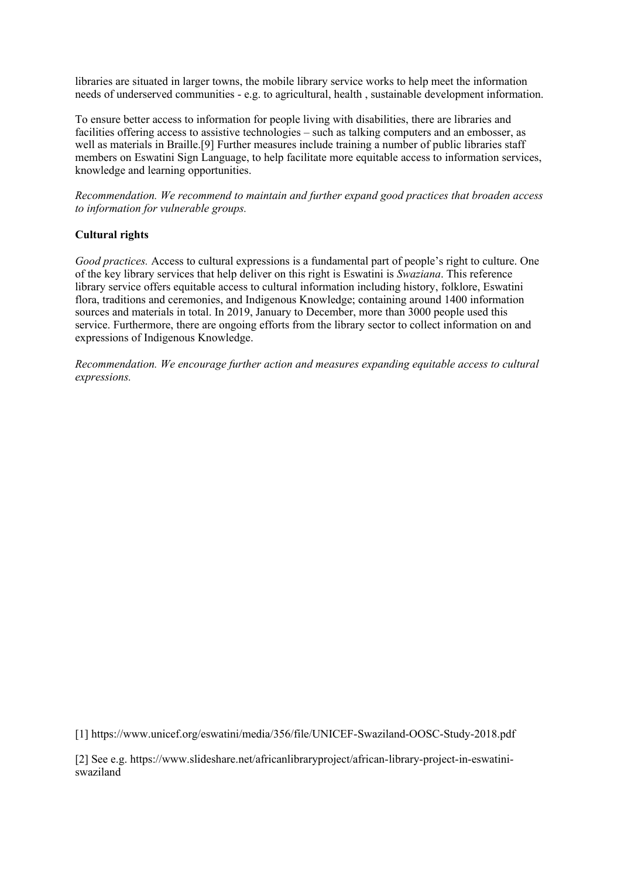libraries are situated in larger towns, the mobile library service works to help meet the information needs of underserved communities - e.g. to agricultural, health , sustainable development information.

To ensure better access to information for people living with disabilities, there are libraries and facilities offering access to assistive technologies – such as talking computers and an embosser, as well as materials in Braille.[9] Further measures include training <sup>a</sup> number of public libraries staff members on Eswatini Sign Language, to help facilitate more equitable access to information services, knowledge and learning opportunities.

*Recommendation. We recommend to maintain and further expand good practices that broaden access to information for vulnerable groups.*

# **Cultural rights**

*Good practices.* Access to cultural expressions is <sup>a</sup> fundamental par<sup>t</sup> of people'<sup>s</sup> right to culture. One of the key library services that help deliver on this right is Eswatini is *Swaziana*. This reference library service offers equitable access to cultural information including history, folklore, Eswatini flora, traditions and ceremonies, and Indigenous Knowledge; containing around 1400 information sources and materials in total. In 2019, January to December, more than 3000 people used this service. Furthermore, there are ongoing efforts from the library sector to collect information on and expressions of Indigenous Knowledge.

*Recommendation. We encourage further action and measures expanding equitable access to cultural expressions.*

[1] https://www.unicef.org/eswatini/media/356/file/UNICEF-Swaziland-OOSC-Study-2018.pdf

[2] See e.g. https://www.slideshare.net/africanlibraryproject/african-library-project-in-eswatiniswaziland